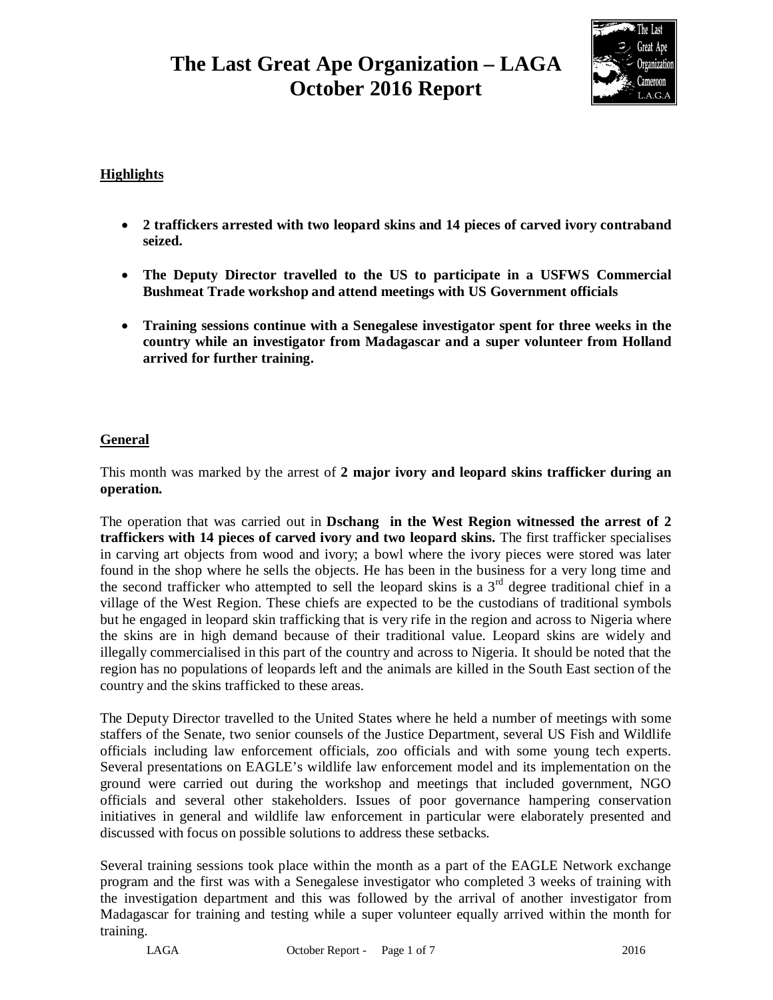## **The Last Great Ape Organization – LAGA October 2016 Report**



## **Highlights**

- **2 traffickers arrested with two leopard skins and 14 pieces of carved ivory contraband seized.**
- **The Deputy Director travelled to the US to participate in a USFWS Commercial Bushmeat Trade workshop and attend meetings with US Government officials**
- **Training sessions continue with a Senegalese investigator spent for three weeks in the country while an investigator from Madagascar and a super volunteer from Holland arrived for further training.**

## **General**

This month was marked by the arrest of **2 major ivory and leopard skins trafficker during an operation.**

The operation that was carried out in **Dschang in the West Region witnessed the arrest of 2 traffickers with 14 pieces of carved ivory and two leopard skins.** The first trafficker specialises in carving art objects from wood and ivory; a bowl where the ivory pieces were stored was later found in the shop where he sells the objects. He has been in the business for a very long time and the second trafficker who attempted to sell the leopard skins is a  $3<sup>rd</sup>$  degree traditional chief in a village of the West Region. These chiefs are expected to be the custodians of traditional symbols but he engaged in leopard skin trafficking that is very rife in the region and across to Nigeria where the skins are in high demand because of their traditional value. Leopard skins are widely and illegally commercialised in this part of the country and across to Nigeria. It should be noted that the region has no populations of leopards left and the animals are killed in the South East section of the country and the skins trafficked to these areas.

The Deputy Director travelled to the United States where he held a number of meetings with some staffers of the Senate, two senior counsels of the Justice Department, several US Fish and Wildlife officials including law enforcement officials, zoo officials and with some young tech experts. Several presentations on EAGLE's wildlife law enforcement model and its implementation on the ground were carried out during the workshop and meetings that included government, NGO officials and several other stakeholders. Issues of poor governance hampering conservation initiatives in general and wildlife law enforcement in particular were elaborately presented and discussed with focus on possible solutions to address these setbacks.

Several training sessions took place within the month as a part of the EAGLE Network exchange program and the first was with a Senegalese investigator who completed 3 weeks of training with the investigation department and this was followed by the arrival of another investigator from Madagascar for training and testing while a super volunteer equally arrived within the month for training.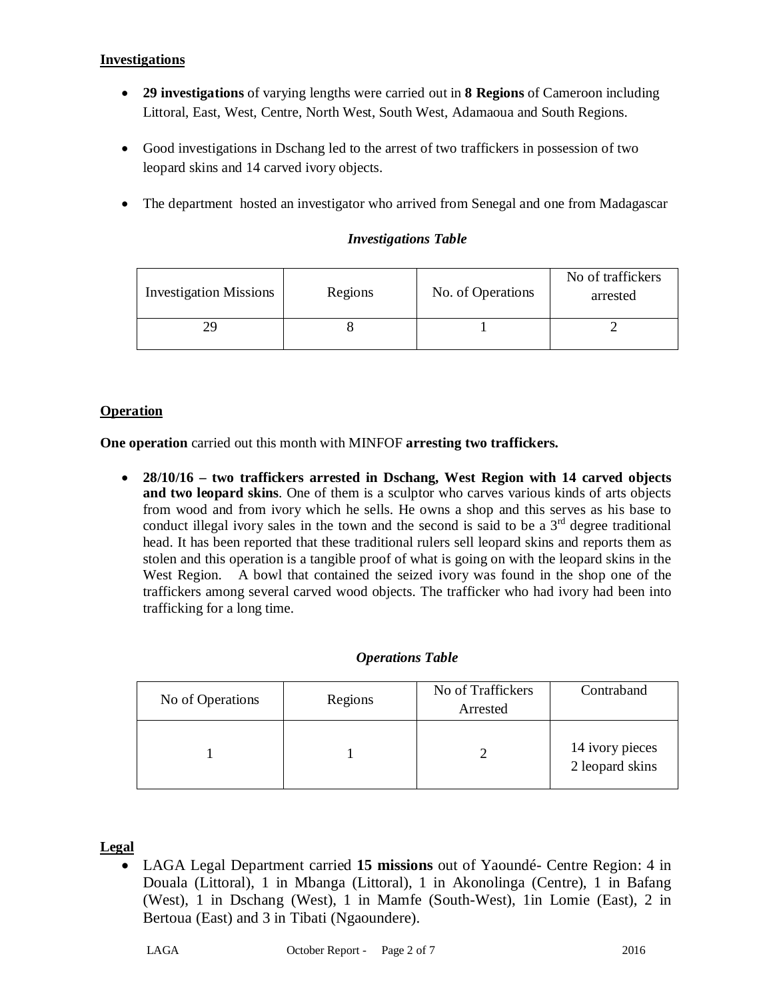## **Investigations**

- **29 investigations** of varying lengths were carried out in **8 Regions** of Cameroon including Littoral, East, West, Centre, North West, South West, Adamaoua and South Regions.
- Good investigations in Dschang led to the arrest of two traffickers in possession of two leopard skins and 14 carved ivory objects.
- The department hosted an investigator who arrived from Senegal and one from Madagascar

| <b>Investigation Missions</b> | Regions | No. of Operations | No of traffickers<br>arrested |
|-------------------------------|---------|-------------------|-------------------------------|
|                               |         |                   |                               |

## *Investigations Table*

## **Operation**

**One operation** carried out this month with MINFOF **arresting two traffickers.**

 **28/10/16 – two traffickers arrested in Dschang, West Region with 14 carved objects and two leopard skins**. One of them is a sculptor who carves various kinds of arts objects from wood and from ivory which he sells. He owns a shop and this serves as his base to conduct illegal ivory sales in the town and the second is said to be a  $3<sup>rd</sup>$  degree traditional head. It has been reported that these traditional rulers sell leopard skins and reports them as stolen and this operation is a tangible proof of what is going on with the leopard skins in the West Region. A bowl that contained the seized ivory was found in the shop one of the traffickers among several carved wood objects. The trafficker who had ivory had been into trafficking for a long time.

## *Operations Table*

| No of Operations | Regions | No of Traffickers<br>Arrested | Contraband                           |
|------------------|---------|-------------------------------|--------------------------------------|
|                  |         |                               | 14 ivory pieces<br>$2$ leopard skins |

#### **Legal**

 LAGA Legal Department carried **15 missions** out of Yaoundé- Centre Region: 4 in Douala (Littoral), 1 in Mbanga (Littoral), 1 in Akonolinga (Centre), 1 in Bafang (West), 1 in Dschang (West), 1 in Mamfe (South-West), 1in Lomie (East), 2 in Bertoua (East) and 3 in Tibati (Ngaoundere).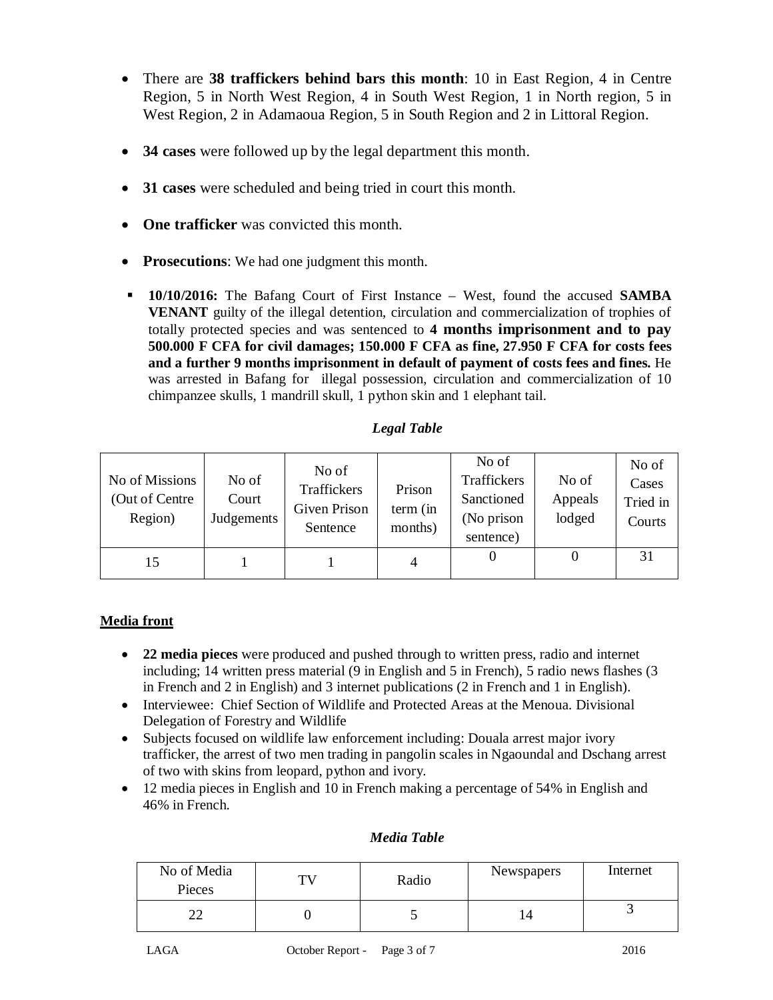- There are **38 traffickers behind bars this month**: 10 in East Region, 4 in Centre Region, 5 in North West Region, 4 in South West Region, 1 in North region, 5 in West Region, 2 in Adamaoua Region, 5 in South Region and 2 in Littoral Region.
- **34 cases** were followed up by the legal department this month.
- **31 cases** were scheduled and being tried in court this month.
- **One trafficker** was convicted this month.
- **Prosecutions**: We had one judgment this month.
- **10/10/2016:** The Bafang Court of First Instance West, found the accused **SAMBA VENANT** guilty of the illegal detention, circulation and commercialization of trophies of totally protected species and was sentenced to **4 months imprisonment and to pay 500.000 F CFA for civil damages; 150.000 F CFA as fine, 27.950 F CFA for costs fees and a further 9 months imprisonment in default of payment of costs fees and fines.** He was arrested in Bafang for illegal possession, circulation and commercialization of 10 chimpanzee skulls, 1 mandrill skull, 1 python skin and 1 elephant tail.

## *Legal Table*

| No of Missions<br>(Out of Centre)<br>Region) | No of<br>Court<br>Judgements | No of<br>Traffickers<br>Given Prison<br>Sentence | Prison<br>term (in<br>months) | No of<br>Traffickers<br>Sanctioned<br>(No prison<br>sentence) | No of<br>Appeals<br>lodged | No of<br>Cases<br>Tried in<br>Courts |
|----------------------------------------------|------------------------------|--------------------------------------------------|-------------------------------|---------------------------------------------------------------|----------------------------|--------------------------------------|
| 15                                           |                              |                                                  | 4                             |                                                               |                            | 31                                   |

## **Media front**

- **22 media pieces** were produced and pushed through to written press, radio and internet including; 14 written press material (9 in English and 5 in French), 5 radio news flashes (3 in French and 2 in English) and 3 internet publications (2 in French and 1 in English).
- Interviewee: Chief Section of Wildlife and Protected Areas at the Menoua. Divisional Delegation of Forestry and Wildlife
- Subjects focused on wildlife law enforcement including: Douala arrest major ivory trafficker, the arrest of two men trading in pangolin scales in Ngaoundal and Dschang arrest of two with skins from leopard, python and ivory.
- 12 media pieces in English and 10 in French making a percentage of 54% in English and 46% in French.

## No of Media of Media TV Radio Newspapers Internet<br>Pieces 22 0 5 14 3

#### *Media Table*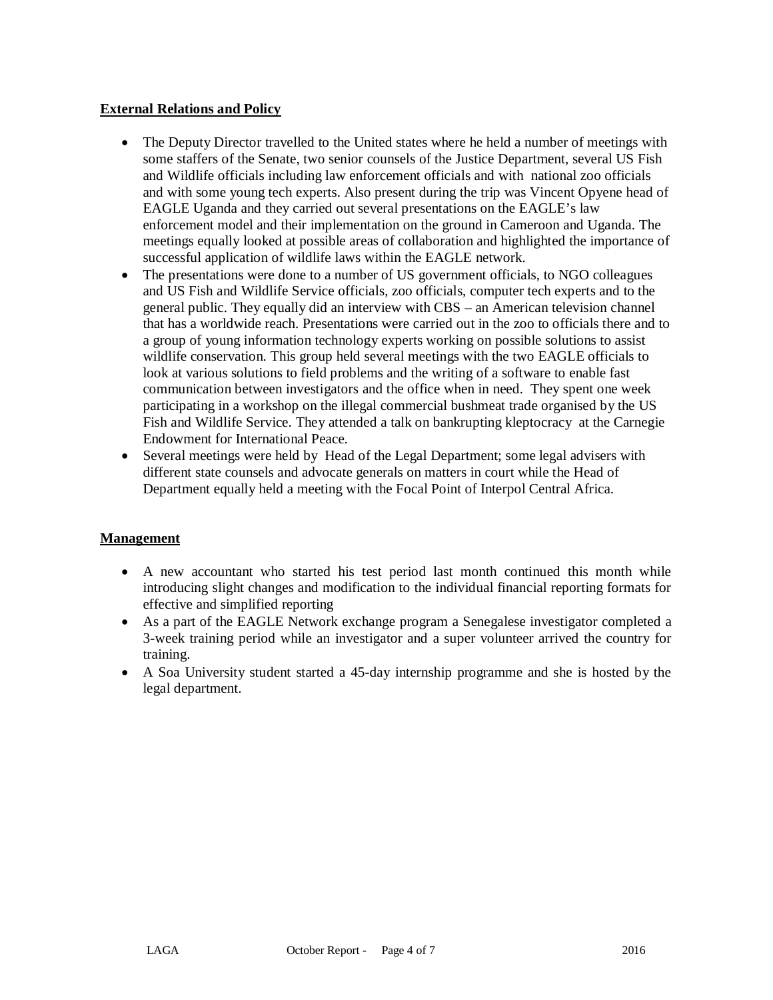#### **External Relations and Policy**

- The Deputy Director travelled to the United states where he held a number of meetings with some staffers of the Senate, two senior counsels of the Justice Department, several US Fish and Wildlife officials including law enforcement officials and with national zoo officials and with some young tech experts. Also present during the trip was Vincent Opyene head of EAGLE Uganda and they carried out several presentations on the EAGLE's law enforcement model and their implementation on the ground in Cameroon and Uganda. The meetings equally looked at possible areas of collaboration and highlighted the importance of successful application of wildlife laws within the EAGLE network.
- The presentations were done to a number of US government officials, to NGO colleagues and US Fish and Wildlife Service officials, zoo officials, computer tech experts and to the general public. They equally did an interview with CBS – an American television channel that has a worldwide reach. Presentations were carried out in the zoo to officials there and to a group of young information technology experts working on possible solutions to assist wildlife conservation. This group held several meetings with the two EAGLE officials to look at various solutions to field problems and the writing of a software to enable fast communication between investigators and the office when in need. They spent one week participating in a workshop on the illegal commercial bushmeat trade organised by the US Fish and Wildlife Service. They attended a talk on bankrupting kleptocracy at the Carnegie Endowment for International Peace.
- Several meetings were held by Head of the Legal Department; some legal advisers with different state counsels and advocate generals on matters in court while the Head of Department equally held a meeting with the Focal Point of Interpol Central Africa.

## **Management**

- A new accountant who started his test period last month continued this month while introducing slight changes and modification to the individual financial reporting formats for effective and simplified reporting
- As a part of the EAGLE Network exchange program a Senegalese investigator completed a 3-week training period while an investigator and a super volunteer arrived the country for training.
- A Soa University student started a 45-day internship programme and she is hosted by the legal department.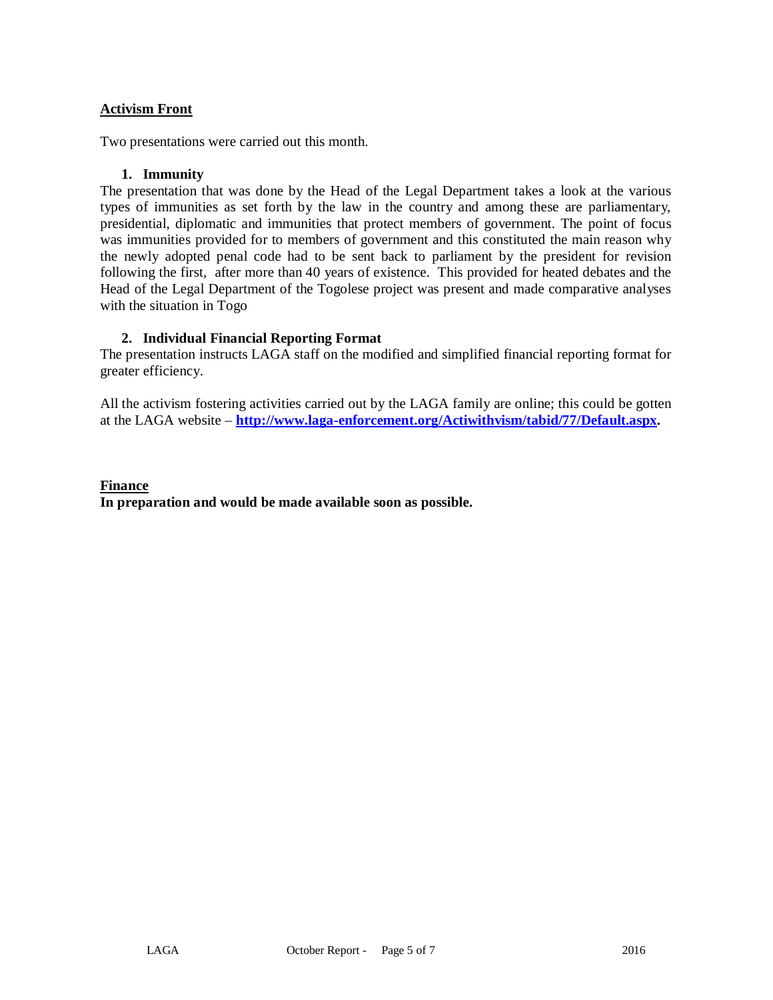#### **Activism Front**

Two presentations were carried out this month.

#### **1. Immunity**

The presentation that was done by the Head of the Legal Department takes a look at the various types of immunities as set forth by the law in the country and among these are parliamentary, presidential, diplomatic and immunities that protect members of government. The point of focus was immunities provided for to members of government and this constituted the main reason why the newly adopted penal code had to be sent back to parliament by the president for revision following the first, after more than 40 years of existence. This provided for heated debates and the Head of the Legal Department of the Togolese project was present and made comparative analyses with the situation in Togo

#### **2. Individual Financial Reporting Format**

The presentation instructs LAGA staff on the modified and simplified financial reporting format for greater efficiency.

All the activism fostering activities carried out by the LAGA family are online; this could be gotten at the LAGA website – **<http://www.laga-enforcement.org/Actiwithvism/tabid/77/Default.aspx.>** 

## **Finance In preparation and would be made available soon as possible.**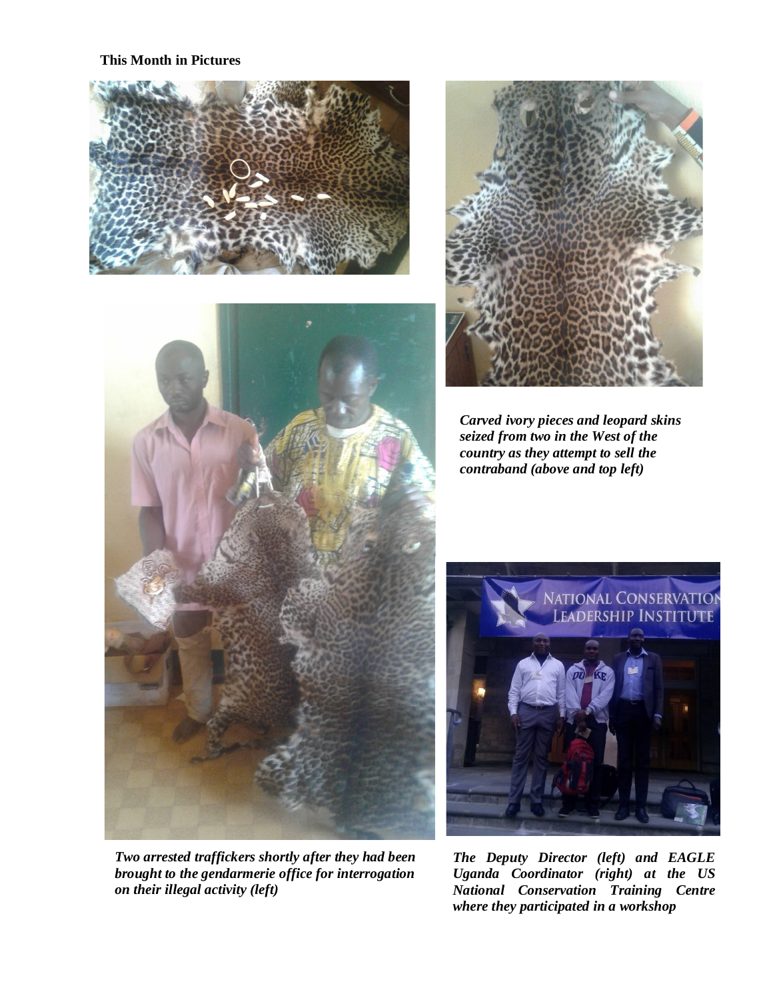**This Month in Pictures** 





*Two arrested traffickers shortly after they had been brought to the gendarmerie office for interrogation on their illegal activity (left)*



*Carved ivory pieces and leopard skins seized from two in the West of the country as they attempt to sell the contraband (above and top left)*



*The Deputy Director (left) and EAGLE Uganda Coordinator (right) at the US National Conservation Training Centre where they participated in a workshop*